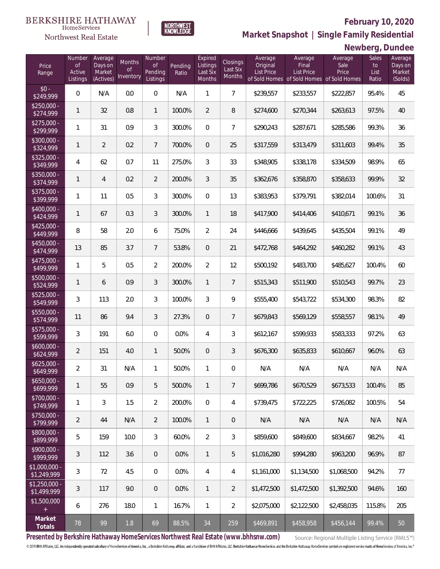### **February 10, 2020**



**NORTHWEST**<br>KNOWLEDGE

Northwest Real Estate

**Market Snapshot | Single Family Residential**

# **Newberg, Dundee**

| Price<br>Range                | Number<br>of<br>Active<br>Listings | Average<br>Days on<br>Market<br>(Actives) | Months<br>Οf<br>Inventory | Number<br>0f<br>Pending<br>Listings | Pending<br>Ratio | Expired<br>Listings<br>Last Six<br>Months | Closings<br>Last Six<br>Months | Average<br>Original<br><b>List Price</b> | Average<br>Final<br><b>List Price</b><br>of Sold Homes of Sold Homes of Sold Homes | Average<br>Sale<br>Price | Sales<br>to<br>List<br>Ratio | Average<br>Days on<br>Market<br>(Solds) |
|-------------------------------|------------------------------------|-------------------------------------------|---------------------------|-------------------------------------|------------------|-------------------------------------------|--------------------------------|------------------------------------------|------------------------------------------------------------------------------------|--------------------------|------------------------------|-----------------------------------------|
| $$0 -$<br>$\sqrt{249,999}$    | $\overline{0}$                     | N/A                                       | 0.0                       | $\overline{0}$                      | N/A              | $\mathbf{1}$                              | $\overline{7}$                 | \$239,557                                | \$233,557                                                                          | \$222,857                | 95.4%                        | 45                                      |
| $$250,000 -$<br>\$274,999     | $\mathbf{1}$                       | 32                                        | 0.8                       | $\mathbf{1}$                        | 100.0%           | 2                                         | 8                              | \$274,600                                | \$270,344                                                                          | \$263,613                | 97.5%                        | 40                                      |
| $$275,000 -$<br>\$299,999     | 1                                  | 31                                        | 0.9                       | 3                                   | 300.0%           | $\overline{0}$                            | $\overline{7}$                 | \$290,243                                | \$287,671                                                                          | \$285,586                | 99.3%                        | 36                                      |
| $$300,000 -$<br>\$324,999     | $\mathbf{1}$                       | $\overline{2}$                            | 0.2                       | $7\phantom{.0}$                     | 700.0%           | $\overline{0}$                            | 25                             | \$317,559                                | \$313,479                                                                          | \$311,603                | 99.4%                        | 35                                      |
| $$325,000 -$<br>\$349,999     | 4                                  | 62                                        | 0.7                       | 11                                  | 275.0%           | 3                                         | 33                             | \$348,905                                | \$338,178                                                                          | \$334,509                | 98.9%                        | 65                                      |
| $$350,000 -$<br>\$374,999     | $\mathbf{1}$                       | $\overline{4}$                            | 0.2                       | $\overline{2}$                      | 200.0%           | 3                                         | 35                             | \$362,676                                | \$358,870                                                                          | \$358,633                | 99.9%                        | 32                                      |
| $$375,000 -$<br>\$399,999     | $\mathbf{1}$                       | 11                                        | 0.5                       | 3                                   | 300.0%           | $\overline{0}$                            | 13                             | \$383,953                                | \$379,791                                                                          | \$382,014                | 100.6%                       | 31                                      |
| $$400,000 -$<br>\$424,999     | $\mathbf{1}$                       | 67                                        | 0.3                       | 3                                   | 300.0%           | $\mathbf{1}$                              | 18                             | \$417,900                                | \$414,406                                                                          | \$410,671                | 99.1%                        | 36                                      |
| $$425,000 -$<br>\$449,999     | 8                                  | 58                                        | 2.0                       | 6                                   | 75.0%            | $\overline{2}$                            | 24                             | \$446,666                                | \$439,645                                                                          | \$435,504                | 99.1%                        | 49                                      |
| $$450,000 -$<br>\$474,999     | 13                                 | 85                                        | 3.7                       | $7\overline{ }$                     | 53.8%            | $\overline{0}$                            | 21                             | \$472,768                                | \$464,292                                                                          | \$460,282                | 99.1%                        | 43                                      |
| $$475,000 -$<br>\$499,999     | 1                                  | 5                                         | 0.5                       | $\overline{2}$                      | 200.0%           | $\overline{2}$                            | 12                             | \$500,192                                | \$483,700                                                                          | \$485,627                | 100.4%                       | 60                                      |
| $$500,000 -$<br>\$524,999     | $\mathbf{1}$                       | 6                                         | 0.9                       | $\mathfrak{Z}$                      | 300.0%           | $\mathbf{1}$                              | $\overline{7}$                 | \$515,343                                | \$511,900                                                                          | \$510,543                | 99.7%                        | 23                                      |
| $$525,000 -$<br>\$549,999     | 3                                  | 113                                       | 2.0                       | 3                                   | 100.0%           | $\mathfrak{Z}$                            | 9                              | \$555,400                                | \$543,722                                                                          | \$534,300                | 98.3%                        | 82                                      |
| $$550,000 -$<br>\$574,999     | 11                                 | 86                                        | 9.4                       | $\mathfrak{Z}$                      | 27.3%            | $\overline{0}$                            | $\overline{7}$                 | \$679,843                                | \$569,129                                                                          | \$558,557                | 98.1%                        | 49                                      |
| $$575,000 -$<br>\$599,999     | 3                                  | 191                                       | 6.0                       | $\Omega$                            | 0.0%             | $\overline{4}$                            | 3                              | \$612,167                                | \$599,933                                                                          | \$583,333                | 97.2%                        | 63                                      |
| $$600,000 -$<br>\$624,999     | $\overline{2}$                     | 151                                       | 4.0                       | $\mathbf{1}$                        | 50.0%            | $\overline{0}$                            | $\mathfrak{Z}$                 | \$676,300                                | \$635,833                                                                          | \$610,667                | 96.0%                        | 63                                      |
| $$625,000 -$<br>\$649,999     | $\overline{2}$                     | 31                                        | N/A                       | $\mathbf{1}$                        | 50.0%            | 1                                         | 0                              | N/A                                      | N/A                                                                                | N/A                      | N/A                          | N/A                                     |
| $$650,000 -$<br>\$699,999     | 1                                  | 55                                        | 0.9                       | 5                                   | 500.0%           | $\mathbf{1}$                              | $\overline{7}$                 | \$699,786                                | \$670,529                                                                          | \$673,533                | 100.4%                       | 85                                      |
| $$700,000 -$<br>\$749,999     | 1                                  | 3                                         | 1.5                       | $\overline{2}$                      | 200.0%           | $\mathbf 0$                               | 4                              | \$739,475                                | \$722,225                                                                          | \$726,082                | 100.5%                       | 54                                      |
| $$750,000 -$<br>\$799,999     | $\overline{2}$                     | 44                                        | N/A                       | $\overline{2}$                      | 100.0%           | $\mathbf{1}$                              | $\mathsf{O}\xspace$            | N/A                                      | N/A                                                                                | N/A                      | N/A                          | N/A                                     |
| $$800,000 -$<br>\$899,999     | 5                                  | 159                                       | 10.0                      | 3                                   | 60.0%            | $\overline{2}$                            | 3                              | \$859,600                                | \$849,600                                                                          | \$834.667                | 98.2%                        | 41                                      |
| $$900,000 -$<br>\$999,999     | 3                                  | 112                                       | 3.6                       | $\overline{0}$                      | 0.0%             | $\mathbf{1}$                              | 5                              | \$1,016,280                              | \$994,280                                                                          | \$963,200                | 96.9%                        | 87                                      |
| \$1,000,000 -<br>\$1,249,999  | 3                                  | 72                                        | 4.5                       | $\mathbf 0$                         | 0.0%             | $\overline{4}$                            | $\overline{4}$                 | \$1,161,000                              | \$1,134,500                                                                        | \$1,068,500              | 94.2%                        | 77                                      |
| $$1,250,000$ -<br>\$1,499,999 | 3                                  | 117                                       | 9.0                       | $\mathbf 0$                         | 0.0%             | $\mathbf{1}$                              | $\overline{2}$                 | \$1,472,500                              | \$1,472,500                                                                        | \$1,392,500              | 94.6%                        | 160                                     |
| \$1,500,000<br>$\pm$          | 6                                  | 276                                       | 18.0                      | $\mathbf{1}$                        | 16.7%            | $\mathbf{1}$                              | $\overline{2}$                 | \$2,075,000                              | \$2,122,500                                                                        | \$2,458,035              | 115.8%                       | 205                                     |
| Market<br>Totals              | 78                                 | 99                                        | 1.8                       | 69                                  | 88.5%            | 34                                        | 259                            | \$469,891                                | \$458,958                                                                          | \$456,144                | 99.4%                        | 50                                      |

**Presented by Berkshire Hathaway HomeServices Northwest Real Estate (www.bhhsnw.com)**

Source: Regional Multiple Listing Service (RMLS™)

© 2019 BHH Affiliates, LLC. An independently operated subsidiary of HomeServices of America, Inc., a Berkshire Hathaway affiliate, and a franchisee of BHH Affiliates, LLC. Berkshire Hathaway HomeServices and the Berkshire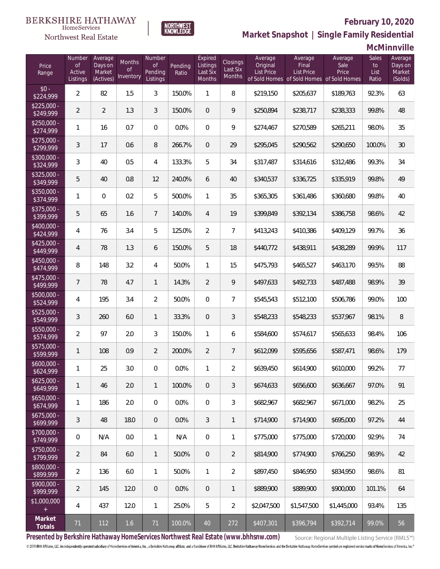# **February 10, 2020**



 $\label{lem:sevices} \textsc{Home} \textsc{Service} \textsc{s}$ 

**Market Snapshot | Single Family Residential**

### **McMinnville**

| Price<br>Range                   | Number<br><b>of</b><br>Active<br>Listings | Average<br>Days on<br>Market<br>(Actives) | Months<br>Οf<br>Inventory | Number<br><b>of</b><br>Pending<br>Listings | Pending<br>Ratio | Expired<br>Listings<br>Last Six<br>Months | Closings<br>Last Six<br>Months | Average<br>Original<br>List Price | Average<br>Final<br><b>List Price</b><br>of Sold Homes of Sold Homes of Sold Homes | Average<br>Sale<br>Price | Sales<br>to<br>List<br>Ratio | Average<br>Days on<br>Market<br>(Solds) |
|----------------------------------|-------------------------------------------|-------------------------------------------|---------------------------|--------------------------------------------|------------------|-------------------------------------------|--------------------------------|-----------------------------------|------------------------------------------------------------------------------------|--------------------------|------------------------------|-----------------------------------------|
| $$0 -$<br>\$224,999              | $\overline{2}$                            | 82                                        | 1.5                       | 3                                          | 150.0%           | 1                                         | 8                              | \$219,150                         | \$205,637                                                                          | \$189,763                | 92.3%                        | 63                                      |
| $\sqrt{$225,000}$ -<br>\$249,999 | $\overline{2}$                            | $\overline{2}$                            | 1.3                       | 3                                          | 150.0%           | $\overline{0}$                            | 9                              | \$250,894                         | \$238,717                                                                          | \$238,333                | 99.8%                        | 48                                      |
| $$250,000 -$<br>\$274,999        | 1                                         | 16                                        | 0.7                       | $\overline{0}$                             | 0.0%             | $\overline{0}$                            | 9                              | \$274,467                         | \$270,589                                                                          | \$265,211                | 98.0%                        | 35                                      |
| $$275,000 -$<br>\$299,999        | 3                                         | 17                                        | 0.6                       | $\, 8$                                     | 266.7%           | $\overline{0}$                            | 29                             | \$295,045                         | \$290,562                                                                          | \$290,650                | 100.0%                       | 30                                      |
| $$300,000 -$<br>\$324,999        | 3                                         | 40                                        | 0.5                       | 4                                          | 133.3%           | 5                                         | 34                             | \$317,487                         | \$314,616                                                                          | \$312,486                | 99.3%                        | 34                                      |
| $$325,000 -$<br>\$349,999        | 5                                         | 40                                        | 0.8                       | 12                                         | 240.0%           | 6                                         | 40                             | \$340,537                         | \$336,725                                                                          | \$335,919                | 99.8%                        | 49                                      |
| $$350,000 -$<br>\$374,999        | 1                                         | $\mathbf{0}$                              | 0.2                       | 5                                          | 500.0%           | $\mathbf{1}$                              | 35                             | \$365,305                         | \$361,486                                                                          | \$360,680                | 99.8%                        | 40                                      |
| $$375,000 -$<br>\$399,999        | 5                                         | 65                                        | 1.6                       | $7\overline{ }$                            | 140.0%           | $\overline{4}$                            | 19                             | \$399,849                         | \$392,134                                                                          | \$386,758                | 98.6%                        | 42                                      |
| $$400,000 -$<br>\$424,999        | 4                                         | 76                                        | 3.4                       | 5                                          | 125.0%           | $\overline{2}$                            | $\overline{7}$                 | \$413,243                         | \$410,386                                                                          | \$409,129                | 99.7%                        | 36                                      |
| $$425,000 -$<br>\$449,999        | 4                                         | 78                                        | 1.3                       | 6                                          | 150.0%           | 5                                         | 18                             | \$440,772                         | \$438,911                                                                          | \$438,289                | 99.9%                        | 117                                     |
| $$450,000 -$<br>\$474,999        | 8                                         | 148                                       | 3.2                       | $\overline{4}$                             | 50.0%            | $\mathbf{1}$                              | 15                             | \$475,793                         | \$465,527                                                                          | \$463,170                | 99.5%                        | 88                                      |
| \$475,000 -<br>\$499,999         | $7\overline{ }$                           | 78                                        | 4.7                       | $\mathbf{1}$                               | 14.3%            | $\overline{2}$                            | 9                              | \$497,633                         | \$492,733                                                                          | \$487,488                | 98.9%                        | 39                                      |
| \$500,000 -<br>\$524,999         | 4                                         | 195                                       | 3.4                       | $\overline{2}$                             | 50.0%            | $\Omega$                                  | $\overline{7}$                 | \$545,543                         | \$512,100                                                                          | \$506,786                | 99.0%                        | 100                                     |
| $$525,000 -$<br>\$549,999        | 3                                         | 260                                       | 6.0                       | $\mathbf{1}$                               | 33.3%            | $\overline{0}$                            | 3                              | \$548,233                         | \$548,233                                                                          | \$537,967                | 98.1%                        | $8\,$                                   |
| $$550,000 -$<br>\$574,999        | $\overline{2}$                            | 97                                        | 2.0                       | 3                                          | 150.0%           | $\mathbf{1}$                              | 6                              | \$584,600                         | \$574,617                                                                          | \$565,633                | 98.4%                        | 106                                     |
| \$575,000 -<br>\$599,999         | 1                                         | 108                                       | 0.9                       | $\overline{2}$                             | 200.0%           | $\overline{2}$                            | $\overline{7}$                 | \$612,099                         | \$595,656                                                                          | \$587,471                | 98.6%                        | 179                                     |
| $$600,000 -$<br>\$624,999        | 1                                         | 25                                        | 3.0                       | $\overline{0}$                             | 0.0%             | 1                                         | $\overline{2}$                 | \$639,450                         | \$614,900                                                                          | \$610,000                | 99.2%                        | 77                                      |
| $$625,000 -$<br>\$649,999        | 1                                         | 46                                        | 2.0                       | $\mathbf{1}$                               | 100.0%           | $\mathbf 0$                               | 3                              | \$674,633                         | \$656,600                                                                          | \$636,667                | 97.0%                        | 91                                      |
| $$650,000 -$<br>\$674,999        | 1                                         | 186                                       | 2.0                       | $\overline{0}$                             | 0.0%             | $\overline{0}$                            | 3                              | \$682,967                         | \$682,967                                                                          | \$671,000                | 98.2%                        | 25                                      |
| $$675,000 -$<br>\$699,999        | $\mathfrak{Z}$                            | 48                                        | 18.0                      | $\overline{0}$                             | 0.0%             | 3                                         | $\mathbf{1}$                   | \$714,900                         | \$714,900                                                                          | \$695,000                | 97.2%                        | 44                                      |
| $$700,000 -$<br>\$749,999        | $\overline{0}$                            | N/A                                       | 0.0                       | $\mathbf{1}$                               | N/A              | $\overline{0}$                            | 1                              | \$775,000                         | \$775,000                                                                          | \$720,000                | 92.9%                        | 74                                      |
| $$750,000 -$<br>\$799,999        | $\overline{2}$                            | 84                                        | 6.0                       | $\overline{1}$                             | 50.0%            | $\mathbf 0$                               | $\overline{2}$                 | \$814,900                         | \$774,900                                                                          | \$766,250                | 98.9%                        | 42                                      |
| $$800,000 -$<br>\$899,999        | $\overline{2}$                            | 136                                       | 6.0                       | $\mathbf{1}$                               | 50.0%            | $\mathbf{1}$                              | $\overline{2}$                 | \$897,450                         | \$846,950                                                                          | \$834,950                | 98.6%                        | 81                                      |
| $$900,000 -$<br>\$999,999        | $\overline{2}$                            | 145                                       | 12.0                      | $\overline{0}$                             | 0.0%             | $\mathbf 0$                               | $\mathbf{1}$                   | \$889,900                         | \$889,900                                                                          | \$900,000                | 101.1%                       | 64                                      |
| \$1,000,000<br>$+$               | 4                                         | 437                                       | 12.0                      | $\mathbf{1}$                               | 25.0%            | 5                                         | $\overline{2}$                 | \$2,047,500                       | \$1,547,500                                                                        | \$1,445,000              | 93.4%                        | 135                                     |
| Market<br>Totals                 | 71                                        | 112                                       | 1.6                       | 71                                         | 100.0%           | 40                                        | 272                            | \$407,301                         | \$396,794                                                                          | \$392,714                | 99.0%                        | 56                                      |

**Presented by Berkshire Hathaway HomeServices Northwest Real Estate (www.bhhsnw.com)**

Source: Regional Multiple Listing Service (RMLS™)

© 2019 BHH Affiliates, LLC. An independently operated subsidiary of HomeServices of America, Inc., a Berkshire Hathaway affiliate, and a franchisee of BHH Affiliates, LLC. Berkshire Hathaway HomeServices and the Berkshire